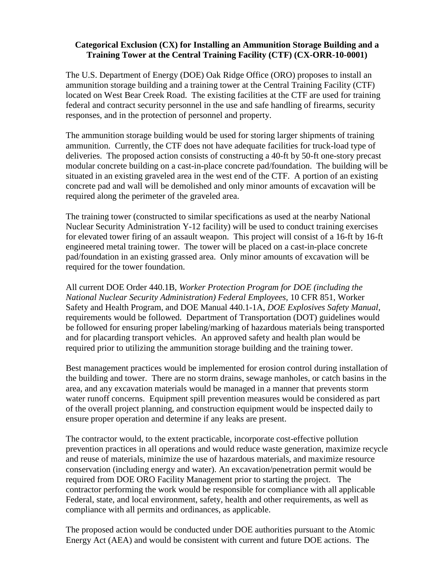## **Categorical Exclusion (CX) for Installing an Ammunition Storage Building and a Training Tower at the Central Training Facility (CTF) (CX-ORR-10-0001)**

The U.S. Department of Energy (DOE) Oak Ridge Office (ORO) proposes to install an ammunition storage building and a training tower at the Central Training Facility (CTF) located on West Bear Creek Road. The existing facilities at the CTF are used for training federal and contract security personnel in the use and safe handling of firearms, security responses, and in the protection of personnel and property.

The ammunition storage building would be used for storing larger shipments of training ammunition. Currently, the CTF does not have adequate facilities for truck-load type of deliveries. The proposed action consists of constructing a 40-ft by 50-ft one-story precast modular concrete building on a cast-in-place concrete pad/foundation. The building will be situated in an existing graveled area in the west end of the CTF. A portion of an existing concrete pad and wall will be demolished and only minor amounts of excavation will be required along the perimeter of the graveled area.

The training tower (constructed to similar specifications as used at the nearby National Nuclear Security Administration Y-12 facility) will be used to conduct training exercises for elevated tower firing of an assault weapon. This project will consist of a 16-ft by 16-ft engineered metal training tower. The tower will be placed on a cast-in-place concrete pad/foundation in an existing grassed area. Only minor amounts of excavation will be required for the tower foundation.

All current DOE Order 440.1B, *Worker Protection Program for DOE (including the National Nuclear Security Administration) Federal Employees,* 10 CFR 851, Worker Safety and Health Program, and DOE Manual 440.1-1A, *DOE Explosives Safety Manual*, requirements would be followed. Department of Transportation (DOT) guidelines would be followed for ensuring proper labeling/marking of hazardous materials being transported and for placarding transport vehicles. An approved safety and health plan would be required prior to utilizing the ammunition storage building and the training tower.

Best management practices would be implemented for erosion control during installation of the building and tower. There are no storm drains, sewage manholes, or catch basins in the area, and any excavation materials would be managed in a manner that prevents storm water runoff concerns. Equipment spill prevention measures would be considered as part of the overall project planning, and construction equipment would be inspected daily to ensure proper operation and determine if any leaks are present.

The contractor would, to the extent practicable, incorporate cost-effective pollution prevention practices in all operations and would reduce waste generation, maximize recycle and reuse of materials, minimize the use of hazardous materials, and maximize resource conservation (including energy and water). An excavation/penetration permit would be required from DOE ORO Facility Management prior to starting the project. The contractor performing the work would be responsible for compliance with all applicable Federal, state, and local environment, safety, health and other requirements, as well as compliance with all permits and ordinances, as applicable.

The proposed action would be conducted under DOE authorities pursuant to the Atomic Energy Act (AEA) and would be consistent with current and future DOE actions. The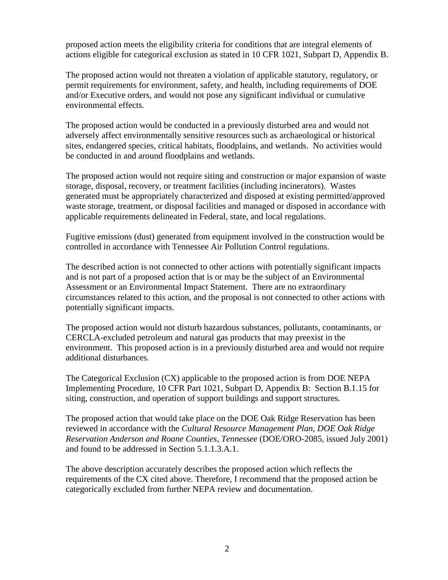proposed action meets the eligibility criteria for conditions that are integral elements of actions eligible for categorical exclusion as stated in 10 CFR 1021, Subpart D, Appendix B.

The proposed action would not threaten a violation of applicable statutory, regulatory, or permit requirements for environment, safety, and health, including requirements of DOE and/or Executive orders, and would not pose any significant individual or cumulative environmental effects.

The proposed action would be conducted in a previously disturbed area and would not adversely affect environmentally sensitive resources such as archaeological or historical sites, endangered species, critical habitats, floodplains, and wetlands. No activities would be conducted in and around floodplains and wetlands.

The proposed action would not require siting and construction or major expansion of waste storage, disposal, recovery, or treatment facilities (including incinerators). Wastes generated must be appropriately characterized and disposed at existing permitted/approved waste storage, treatment, or disposal facilities and managed or disposed in accordance with applicable requirements delineated in Federal, state, and local regulations.

Fugitive emissions (dust) generated from equipment involved in the construction would be controlled in accordance with Tennessee Air Pollution Control regulations.

The described action is not connected to other actions with potentially significant impacts and is not part of a proposed action that is or may be the subject of an Environmental Assessment or an Environmental Impact Statement. There are no extraordinary circumstances related to this action, and the proposal is not connected to other actions with potentially significant impacts.

The proposed action would not disturb hazardous substances, pollutants, contaminants, or CERCLA-excluded petroleum and natural gas products that may preexist in the environment. This proposed action is in a previously disturbed area and would not require additional disturbances.

The Categorical Exclusion (CX) applicable to the proposed action is from DOE NEPA Implementing Procedure, 10 CFR Part 1021, Subpart D, Appendix B: Section B.1.15 for siting, construction, and operation of support buildings and support structures.

The proposed action that would take place on the DOE Oak Ridge Reservation has been reviewed in accordance with the *Cultural Resource Management Plan, DOE Oak Ridge Reservation Anderson and Roane Counties, Tennessee* (DOE/ORO-2085, issued July 2001) and found to be addressed in Section 5.1.1.3.A.1.

The above description accurately describes the proposed action which reflects the requirements of the CX cited above. Therefore, I recommend that the proposed action be categorically excluded from further NEPA review and documentation.